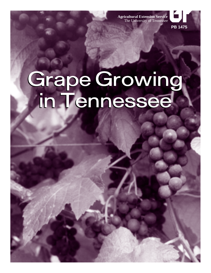**Agricultural Extension Service** The University of Tennessee



# Grape Growing<br>in Tennessee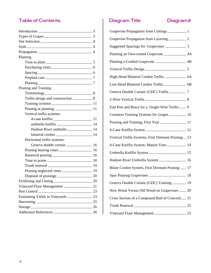## **Table of Contents**

| Introduction 23                     |  |
|-------------------------------------|--|
| Types of Grapes $\frac{1}{3}$       |  |
|                                     |  |
| $Soils$ 4                           |  |
|                                     |  |
| Planting                            |  |
| Time to plant 5                     |  |
| Purchasing vines                    |  |
| $Spacing$ 6                         |  |
| Preplant care 27                    |  |
| $Planting$ $\qquad \qquad \qquad$ 7 |  |
| Pruning and Training                |  |
| Terminology 8                       |  |
|                                     |  |
|                                     |  |
|                                     |  |
| Vertical trellis systems:           |  |
|                                     |  |
|                                     |  |
|                                     |  |
|                                     |  |
| Horizontal trellis systems:         |  |
| Geneva double curtain 2008 16       |  |
|                                     |  |
| Balanced pruning 16                 |  |
| Time to prune 18                    |  |
| Trunk renewal $\frac{1}{2}$ 19      |  |
|                                     |  |
|                                     |  |
| Fertilizing and Liming 20           |  |
| Vineyard Floor Management 21        |  |
| Pest Control 23                     |  |
| Estimating Yields in Vineyards 23   |  |
| Harvesting 25                       |  |
| Storage 26                          |  |
| Additional References 26            |  |

# Diagram Title

Diagram#

| Planting an Own-rooted Grapevine _____________ 4A     |  |
|-------------------------------------------------------|--|
| Planting a Grafted Grapevine ____________________ 4B  |  |
|                                                       |  |
| High-Head Bilateral Cordon Trellis _____________ 6A   |  |
|                                                       |  |
| Geneva Double Curtain (GDC) Trellis __________ 7      |  |
|                                                       |  |
| End Post and Brace for a Single-Wire Trellis ____ 9   |  |
| Common Training Systems for Grapes 2010               |  |
| Pruning and Training, First Year                      |  |
| 4-Cane Kniffin System                                 |  |
| Vertical Trellis Systems, First Dormant Pruning __ 13 |  |
| 4-Cane Kniffin System, Mature Vine___________ 14      |  |
|                                                       |  |
| Hudson River Umbrella System _________________ 16     |  |
| Bilate Cordon System, First Dormant Pruning __ 17     |  |
|                                                       |  |
| Geneva Double Curtain (GDC) Training _______ 19       |  |
| New Wood Versus Old Wood on Grapevines _____ 20       |  |
| Cross Section of a Compound Bud of Concord_21         |  |
| Trunk Renewal 22                                      |  |
|                                                       |  |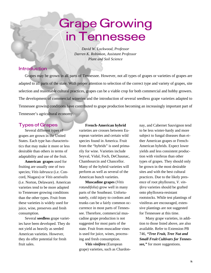# **Grape Growing** in Tennessee

*David W. Lockwood, Professor Darren K. Robinson, Assistant Professor Plant and Soil Science*

### **Introduction**

Grapes may be grown in all parts of Tennessee. However, not all types of grapes or varieties of grapes are adapted to all parts of the state. With proper attention to selection of the correct type and variety of grapes, site selection and reasonable cultural practices, grapes can be a viable crop for both commercial and hobby growers. The development of commercial wineries and the introduction of several seedless grape varieties adapted to Tennessee growing conditions have contributed to grape production becoming an increasingly important part of Tennessee's agricultural economy.

### **Types of Grapes**

Several different types of grapes are grown in the United States. Each type has characteristics that may make it more or less desirable than others in terms of adaptability and use of the fruit.

**American grapes** used for fruiting are usually one of two species; *Vitis labrusca* (i.e. Concord, Niagara) or *Vitis aestivalis* (i.e. Norton, Delaware). American varieties tend to be more adapted to Tennessee growing conditions than the other types. Fruit from these varieties is widely used for juice, wine, preserves and fresh consumption.

Several **seedless** grape varieties have been developed. They do not yield as heavily as seeded American varieties. However, they do offer potential for fresh fruit sales.

### **French-American hybrid**

varieties are crosses between European varieties and certain wild species found in America. Fruit from the "hybrids" is used primarily for wine. Varieties include Seyval, Vidal, Foch, DeChaunac, Chambourcin and Chancellor. Many of the hybrid varieties will perform as well as several of the American bunch varieties.

**Muscadine grapes** (*Vitis rotundifolia*) grow well in many parts of the Southeast. Unfortunately, cold injury to cordons and trunks can be a fairly common occurrence in most parts of Tennessee. Therefore, commercial muscadine grape production is not suggested for most parts of the state. Fruit from muscadine vines is used for juice, wines, processing and fresh consumption.

*Vitis vinifera* (European grape) varieties, such as Chardonnay, and Cabernet Sauvignon tend to be less winter-hardy and more subject to fungal diseases than either American grapes or French-American hybrids. Expect lower yields and less consistent production with viniferas than other types of grapes. They should only be grown in the most desirable sites and with the best cultural practices. Due to the likely presence of root phylloxera, *V. vinifera* varieties should be grafted onto phylloxera-resistant rootstocks. While test plantings of viniferas are encouraged, extensive plantings are not suggested for Tennessee at this time.

Many grape varieties, in addition to those listed above, are also available. Refer to Extension PB 746, *"Tree Fruit, Tree Nut and Small Fruit Cultivars for Tennessee,"* for more suggestions.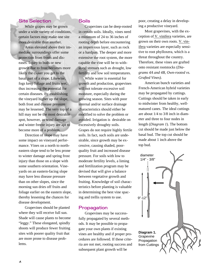### **Site Selection**

While grapes may be grown under a wide variety of conditions, certain factors may make one site more desirable than another.

Areas elevated above their immediate surroundings offer some protection from frosts and diseases. Injury to buds or new growth due to frost becomes more likely the closer you get to the basal part of a slope. Likewise, fogs keep foliage and fruits wet, thus increasing the potential for certain diseases. By establishing the vineyard higher up the slope, both frost and disease pressure may be lessened. The very top of a hill may not be the most desirable spot, however, as wind damage and winter freeze injury are apt to become more of a problem.

Direction of slope may have some impact on vineyard performance. Vines on a north to northeastern slope tend to be less prone to winter damage and spring frost injury than those on a slope with some southern orientation. Vineyards on an eastern-facing slope may have less disease pressure than on other slopes, since the morning sun dries off fruits and foliage earlier on the eastern slope, thereby lessening the chances for disease development.

Grapevines should be planted where they will receive full sun. Shade will cause plants to become "leggy." These elongated, spindly shoots will produce fewer fruiting sites with poorer quality fruit that are more prone to disease problems.

### **Soils**

Grapevines can be deep-rooted in certain soils. Ideally, vines need a minimum of 24 to 36 inches of rooting depth before encountering an impervious layer, such as rock or a hardpan. The deeper and more extensive the root system, the more capable the vine will be to withstand stresses such as drought, low fertility and low soil temperatures.

While water is essential for growth and production, grapevines will not tolerate excessive soil moisture, especially during the growing season. Sites with poor internal and/or surface drainage characteristics should either be modified to solve the problem or avoided. Irrigation is desirable on excessively droughty soils. Grapes do not require highly fertile soils. In fact, such soils are undesirable, since growth may be excessive, causing shaded, poorquality fruit and increased disease pressure. For soils with low to moderate fertility levels, a liming and fertilization program may be devised that will give a balance between vegetative growth and fruiting. Knowledge of soil characteristics before planting is valuable in determining the best vine spacing and trellis system to use.

### Propagation

Grapevines may be successfully propagated by several methods. It may be possible to propagate your own plants if existing vines are healthy and if proper procedures are followed. If these criteria are not met, rooting success and subsequent plant growth will be

poor, creating a delay in developing a productive vineyard.

Most grapevines, with the exception of V. vinifera varieties, are grown on their own roots. V. vinifera varieties are especially sensitive to root phylloxera, which is a threat throughout the country. Therefore, these vines are grafted onto resistant rootstocks (*Diagrams 4A and 4B, Own-rooted vs. Grafted Vines).*

American bunch varieties and French-American hybrid varieties may be propagated by cuttings. Cuttings should be taken in early to midwinter from healthy, wellmatured canes. The ideal cuttings are about 1/4 to 3/8 inch in diameter and three to four nodes in length (*Diagram 1*). The bottom cut should be made just below the basal bud. The top cut should be made about 1 inch above the top bud.

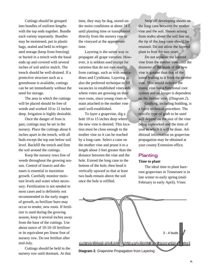Cuttings should be grouped into bundles of uniform lengths with the top ends together. Bundle each variety separately. Bundles may be moistened, put in plastic bags, sealed and held in refrigerated storage (keep from freezing) or buried in a trench with the basal ends up and covered with several inches of soil and/or mulch. The trench should be well-drained. If a protective structure such as a greenhouse is available, cuttings can be set immediately without the need for storage.

The area in which the cuttings will be placed should be free of weeds and worked 10 to 12 inches deep. Irrigation is highly desirable.

Once the danger of frost is past, cuttings may be set in the nursery. Place the cuttings about 6 inches apart in the trench, with all buds except the top one below soil level. Backfill the trench and firm the soil around the cuttings.

Keep the nursery rows free of weeds throughout the growing season. Control of insects and diseases is essential to maximize growth. Carefully monitor moisture levels and water when necessary. Fertilization is not needed in most cases and is definitely not recommended in the early stages of growth, as fertilizer burn may occur to tender, new roots. If fertilizer is used during the growing season, keep it several inches away from the base of the cuttings. Use about ounce of 10-10-10 fertilizer or its equivalent per linear foot of nursery row. Do not fertilize after mid-July.

Cuttings should be held in the

time, they may be dug, stored under moist conditions at about 34 F. until planting time or transplanted directly from the nursery row to the vineyard at the appropriate time.

Layering is the surest way to propagate all grape varieties. However, it is seldom used except for varieties that do not root readily from cuttings, such as with muscadines and Cynthiana. Layering is also the preferred technique to fill vacancies in established vineyards where vines are growing on their own roots, since young vines remain attached to the mother vine until well-established.

To layer a grapevine, dig a hole 10 to 15 inches deep where the new vine is desired. This location must be close enough to the mother vine so it can be reached by a long cane. Select a cane on the mother vine and prune it to a length about 3 feet greater than the distance between the vine and the hole. Extend the long cane to the bottom of the hole, then bend it vertically upward so that at least two buds remain above the soil once the hole is refilled.

Strip off developing shoots on the long cane between the mother vine and the soil. Shoots arising from nodes above the soil line on the tip of the long cane should be retained. Do not allow the layered plant to fruit for two years.

Do not separate the layered vine from the mother vine until the diameter of the trunk of the new vine is greater than that of the wood leading to it from the mother vine. This would indicate the young vine has a functional root system and no longer is dependent on the mother vine. (*Diagram 2*).

Grafting, including budding, is a fairly technical procedure. The specific type of graft to be used will depend on the size of the vine being topworked and the time of year in which it will be done. Additional information on grapevine propagation may be obtained at your county Extension office.

### **Planting**

### **Time to plant**

The ideal time to plant bareroot grapevines in Tennessee is in late winter to early spring (mid-February to early April). Vines

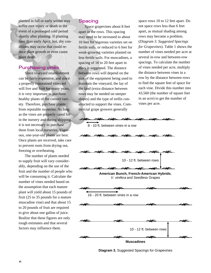planted in fall or early winter may suffer root injury or death in the event of a prolonged cold period shortly after planting. If planting later than early April, hot, dry conditions may occur that could reduce plant growth or even cause plant death.

### **Purchasing vines**

Since vineyard establishment can be fairly expensive, and since a properly maintained vineyard will live and fruit for many years, it is very important to purchase healthy plants of the correct variety. Therefore, purchase plants from reputable nurseries. As long as the vines are properly cared for in the nursery and during shipping, it is not necessary to purchase them from local nurseries. Vigorous, one-year-old plants are best. Once plants are received, take care to prevent roots from drying out, freezing or overheating.

The number of plants needed to supply fruit will vary considerably, depending on the use of the fruit and the number of people who will be consuming it. Calculate the number of vines needed based on the assumption that each mature plant will yield about 15 pounds of fruit (25 to 35 pounds for a mature muscadine vine) and that about 15 to 20 pounds of fruit are required to give about one gallon of juice. Realize that these figures are only rough estimates and that several factors may influence them.

### **Spacing**

Space grapevines about 8 feet apart in the rows. This spacing may need to be increased to about 10 feet for vigorous varieties set on fertile soils, or reduced to 6 feet for weak-growing varieties planted on less-fertile soils. For muscadines, a spacing of 16 to 20 feet apart in rows is suggested. The distance between rows will depend on the size of the equipment being used to maintain the vineyard, the lay of the land (extra distance between rows may be needed on steeper slopes) and the type of trellis constructed to support the vines. Commercial grape growers generally

space rows 10 to 12 feet apart. Do not space rows less than 6 feet apart, as mutual shading among rows may become a problem. (*Diagram 3. Suggested Spacings for Grapevines*). Table 1 shows the number of vines needed per acre at several in-row and between-row spacings. To calculate the number of vines needed per acre, multiply the distance between vines in a row by the distance between rows to find the square feet of space for each vine. Divide this number into 43,560 (the number of square feet in an acre) to get the number of vines per acre.



**Diagram 3.** Suggested Spacings for Grapevines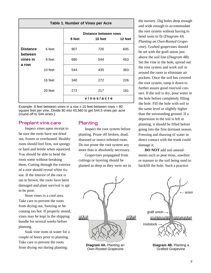| Table 1. Number of Vines per Acre               |         |            |                                  |         |  |
|-------------------------------------------------|---------|------------|----------------------------------|---------|--|
|                                                 |         | 8 feet     | Distance between rows<br>10 feet | 12 feet |  |
| <b>Distance</b><br>between<br>vines in<br>a row | 6 feet  | 907        | 726                              | 605     |  |
|                                                 | 8 feet  | 680        | 544                              | 453     |  |
|                                                 | 10 feet | 544        | 435                              | 363     |  |
|                                                 | 16 feet | 340        | 272                              | 226     |  |
|                                                 | 20 feet | 272        | 217                              | 181     |  |
|                                                 |         | vines/acre |                                  |         |  |

Example: 8 feet between vines in a row x 10 feet between rows = 80 square feet per vine. Divide 80 into 43,560 to get 544.5 vines per acre (round off to 544 vines.)

### **Preplant vine care**

Inspect vines upon receipt to be sure the roots have not dried out, frozen or overheated. Healthy roots should feel firm, not spongy or hard and brittle when squeezed. You should be able to bend the roots some without breaking them. Cutting through the exterior of a root should reveal white tissue. If the interior of the root is tan to brown, the roots have been damaged and plant survival is apt to be poor.

Store vines in a cool area. Take care to prevent the roots from drying out, freezing or becoming too hot. If properly stored, vines may be kept in the shipping bundle for several weeks before planting.

Soak vine roots in water for a couple of hours prior to planting. Take care to prevent the roots from drying out during planting.

### Planting

Inspect the root system before planting. Prune off broken, dead, diseased or insect-infested roots. Do not prune the root system any more than is absolutely necessary.

Grapevines propagated from cuttings or layering should be planted as deep as they were set in the nursery. Dig holes deep enough and wide enough to accommodate the root system without having to bend roots to fit (*Diagram 4A. Planting an Own-Rooted Grapevine*). Grafted grapevines should be set with the graft union just above the soil line (*Diagram 4B*). Set the vine in the hole, spread out the root system and work soil in around the roots to eliminate air pockets. Once the soil has covered the root system, tamp it down to further assure good root/soil contact. If the soil is dry, pour water in the hole before completely filling the hole. Fill the hole with soil to the same level or slightly higher than the surrounding ground. If a depression in the soil is left at planting, it should be filled before going into the first dormant season. Freezing and thawing of water in direct contact with the trunk could damage it.

**DO NOT** add soil amendments such as peat moss, sawdust or manure to the soil being used to backfill the hole. Such a practice

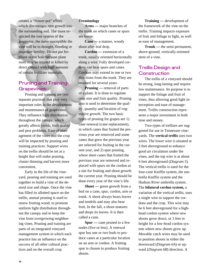creates a "flower-pot" effect, which discourages root growth into the surrounding soil. The more restricted the root system of the grapevine, the more susceptible the vine will be to drought, flooding or improper fertility. Do not put fertilizer in the hole because plant roots may be injured or killed by direct contact with high amounts of certain fertilizer materials.

### **Pruning and Training Grapevines**

Pruning and training are two separate practices that play very important roles in the development and maintenance of grapevines. They influence light distribution throughout the canopy, which greatly affects yields, fruit quality and pest problems. Ease of management of the vines and the crop will be impacted by pruning and training practices. Support wires on the trellis should be set at a height that will make pruning, cluster thinning and harvest more convenient.

Early in the life of the vineyard, pruning and training are used together to build a vine of the desired size and shape. Once the vine has filled its allotted space on the trellis, annual pruning is used to renew fruiting wood, to promote uniform light distribution throughout the canopy and to keep the vine from overgrowing neighboring vines. Pruning and training are parts of an integrated vineyard management system in which each practice has an influence on the success of all other cultural practices and on the overall crop.

### **Terminology**

**Arms —** major branches of the trunk on which canes or spurs are borne.

**Cane —** a mature, woody shoot after leaf drop.

**Cordon —** extension of a trunk, usually oriented horizontally along a wire. Fully developed cordons can bear spurs and canes. Cordons may extend in one or two directions from the trunk. They are retained for several years.

**Pruning** — removal of parts of a plant. It is done to regulate crop size and fruit quality. Pruning also is used to determine the quality, quantity and location of vegetative growth. The two basic types of pruning for grapes are 1) cane renewal (cane replacement), in which canes that fruited the previous year are removed and some canes that grew the previous year are selected for fruiting in the current year, and 2) spur pruning, where short canes that fruited the previous year are removed and replaced with spurs on the cordon as a site for fruiting and shoot growth the current year. Pruning should be done every year of the vine's life.

**Shoot** — green growth from a bud on a cane, spur, cordon, arm or trunk. A shoot always bears leaves and tendrils and may also bear fruit. In the fall, a shoot matures and drops its leaves. It is then called a cane.

**Spur —** cane pruned to a few nodes (five or less). A renewal spur has one or two buds to produce canes at a particular location on an arm or cordon. A fruiting spur is chosen to produce fruiting shoots.

**Training —** development of the framework of the vine on the trellis. Training impacts exposure of fruit and foliage to light, as well as ease of management.

**Trunk —** the semi-permanent, above-ground, vertically-oriented stem of a vine.

### **Trellis Design and** Construction

The trellis of a vineyard should be strong, long-lasting and require low maintenance. Its purpose is to support the foliage and fruit of vines, thus allowing good light interception and ease of management. Trellis construction represents a major investment in both time and money.

Two types of trellises are suggested for use in Tennessee vineyards. The **vertical trellis** uses two wires. The lower wire is situated at 3 feet aboveground to enhance good air circulation under the vines, and the top wire is at about 6 feet aboveground (*Diagram 5*). The vertical trellis is used for the four-cane Kniffin system, the umbrella Kniffin system and the Hudson River umbrella system. The **bilateral cordon system,** a variation of the vertical trellis, uses a single wire to support the cordons and the crop. This wire may be 6 feet aboveground for a highhead cordon system where new shoots grow down, or 3 feet in height for a low-head cordon system where new shoots grow up. Movable catch wires may be used to position shoots in either the downward (*Diagram 6A*) or upward (*Diagram 6B*) direction. A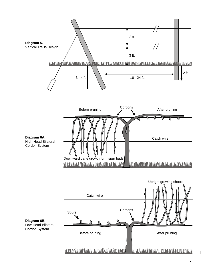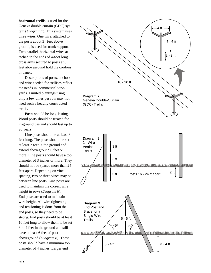**horizontal trellis** is used for the Geneva double curtain (GDC) system (*Diagram 7*). This system uses three wires. One wire, attached to the posts about 3 feet above ground, is used for trunk support. Two parallel, horizontal wires attached to the ends of 4-foot long cross arms secured to posts at 6 feet aboveground hold the cordons or canes.

Descriptions of posts, anchors and wire needed for trellises reflect the needs in commercial vineyards. Limited plantings using only a few vines per row may not need such a heavily constructed trellis**.**

**Posts** should be long-lasting. Wood posts should be treated for in-ground use and should last up to 20 years.

Line posts should be at least 8 feet long. The posts should be set at least 2 feet in the ground and extend aboveground 6 feet or more. Line posts should have a top diameter of 3 inches or more. They should not be spaced more than 24 feet apart. Depending on vine spacing, two or three vines may be between line posts. Line posts are used to maintain the correct wire height in rows (*Diagram 8*). End posts are used to maintain wire height. All wire tightening and tensioning is done from the end posts, so they need to be strong. End posts should be at least 10 feet long to allow them to be set 3 to 4 feet in the ground and still have at least 6 feet of post aboveground (*Diagram 8*). These posts should have a minimum top diameter of 4 inches. Larger end

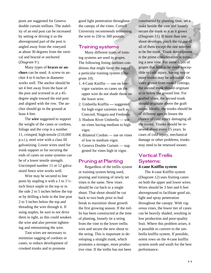posts are suggested for Geneva double curtain trellises. The stability of an end post can be increased by setting or driving it so the aboveground part of the post is angled away from the vineyard at about 30 degrees from the vertical and braced or anchored (*Diagram 9* ).

Many types of **braces or anchors** can be used. A screw-in anchor 4 to 6 inches in diameter works well. The anchor should be set 4 feet away from the base of the post and screwed in at a 45 degree angle toward the end post and aligned with the row. The anchor should go in the ground at least 4 feet.

The **wire** suggested to support the weight of the canes or cordons, foliage and the crop is a number 11, crimped, high-tensile (210,000 p.s.i.), steel wire with a class III galvanizing. Lower wires used for trunk support or for securing the ends of canes on some systems can be of a lower tensile strength. Uncrimped number 11 or 12 galvanized fence wire works well.

Wire may be secured to line posts by stapling it with a 1 to  $1^{1/4}$ . inch fence staple in the top or in the side 2 to 5 inches below the top or by drilling a hole in the line post 2 to 3 inches below the top and threading the wire through it. If using staples, be sure to not drive them in tight, as this could weaken the wire and also prevent tightening and retensioning the wire.

Taut wires are necessary to minimize sagging of cordons or canes, to reduce development of crooked trunks and to promote

good light penetration throughout the canopy of the vines. Cornell University recommends tensioning the wire to 250 to 300 pounds.

### **Training systems**

Many different types of training systems are used in grapes. The following listing outlines conditions that might favor the use of a particular training system (*Diagram 10*):

- 1. 4-Cane Kniffin use on lowvigor varieties so canes on the upper wire do not shade those on the lower wire.
- 2. Umbrella Kniffinsuggested for high-vigor varieties such as Concord, Niagara and Fredonia.
- 3. Hudson River Umbrella use on vines having medium to high vigor.
- 4. Bilateral Cordon use on vines of low to medium vigor.
- 5. Geneva Double Curtain suggested for vines high in vigor.

### **Pruning at Planting**

Regardless of the trellis system or training system being used, pruning and training of newly set vines is the same. New vines should be cut back to a single shoot. That shoot should be cut back to two buds prior to bud break to maximize shoot growth the first growing season. If the trellis has been constructed at the time of planting, loosely tie a string from the vine to the lower trellis wire and secure the new shoot to the string. This is important in developing a straight trunk, which promotes a stronger, more productive vine. If the trellis has not been

constructed by planting time, set a stake beside the vine and loosely secure the trunk to it as it grows (*Diagram 11*). If more than one shoot develops, pinch the tip out of all of them except the one selected to be the trunk. Trunk development is the prime consideration in training a new vine. For some types of grapes that tend to be more susceptible to cold injury, having two or more trunks may be advisable. On vines grown from rooted cuttings, the second trunk should originate at or below the ground line. For grafted vines, the second trunk should originate above the graft union. Ideally, the trunks should be of different ages to lessen the chance of cold injury damaging all the trunks. Trunks should be renewed about every 15 years. In cases of cold injury, mechanical damage or other problems, trunks may need to be renewed sooner.

### **Vertical Trellis Systems: 4-cane Kniffin system**

The 4-cane Kniffin system (*Diagram 12*) uses fruiting canes on both the upper and lower wires. Wires should be 3 feet and 6 feet aboveground to facilitate good air, light and spray penetration throughout the canopy. With vigorous vines, the lower tier of canes can be heavily shaded, resulting in low production and poor-quality fruit. Where this problem arises, it is possible to convert to the umbrella kniffin system. If possible, orient rows on the 4-cane kniffin system north and south for the best performance.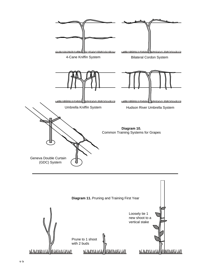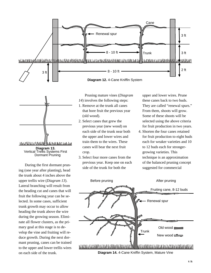



During the first dormant pruning (one year after planting), head the trunk about 4 inches above the upper trellis wire (*Diagram 13*). Lateral branching will result from the heading cut and canes that will fruit the following year can be selected. In some cases, sufficient trunk growth may occur to allow heading the trunk above the wire during the growing season. Eliminate all flower clusters, as the primary goal at this stage is to develop the vine and fruiting will reduce growth. During the next dormant pruning, canes can be trained to the upper and lower trellis wires on each side of the trunk.

Pruning mature vines (*Diagram 14*) involves the following steps:

- 1. Remove at the trunk all canes that bore fruit the previous year (old wood).
- 2. Select canes that grew the previous year (new wood) on each side of the trunk near both the upper and lower wires and train them to the wires. These canes will bear the next fruit crop.
- 3. Select four more canes from the previous year. Keep one on each side of the trunk for both the

upper and lower wires. Prune these canes back to two buds. They are called "renewal spurs." From them, shoots will grow. Some of these shoots will be selected using the above criteria for fruit production in two years.

4. Shorten the four canes retained for fruit production to eight buds each for weaker varieties and 10 to 12 buds each for strongergrowing varieties. This technique is an approximation of the balanced pruning concept suggested for commercial



 $1.3$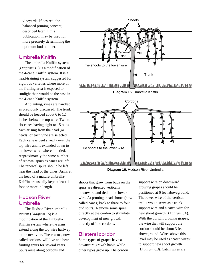vineyards. If desired, the balanced pruning concept, described later in this publication, may be used for more precisely determining the optimum bud number.

### **Umbrella Kniffin**

The umbrella Kniffin system (*Diagram 15*) is a modification of the 4-cane Kniffin system. It is a head-training system suggested for vigorous varieties where more of the fruiting area is exposed to sunlight than would be the case in the 4-cane Kniffin system.

At planting, vines are handled as previously discussed. The trunk should be headed about 6 to 12 inches below the top wire. Two to six canes having eight to 15 buds each arising from the head (or heads) of each vine are selected. Each cane is bent sharply over the top wire and is extended down to the lower wire, where it is tied. Approximately the same number of renewal spurs as canes are left. The renewal spurs should be left near the head of the vines. Arms at the head of a mature umbrella-Kniffin are usually kept at least 1 foot or more in length.

### **Hudson River Umbrella**

The Hudson River umbrella system (*Diagram 16*) is a modification of the Umbrella Kniffin system where the arms extend along the top wire halfway to the next vine. These arms, now called cordons, will live and bear fruiting spurs for several years. Spurs arise along cordons and





shoots that grow from buds on the spurs are directed vertically downward and tied to the lower wire. At pruning, head shoots (now called canes) back to three to four bud spurs. Remove some spurs directly at the cordon to stimulate development of new growth directly off the cordons.

### **Bilateral cordon**

Some types of grapes have a downward growth habit, while other types grow up. The cordon support wire on downward growing grapes should be positioned at 6 feet aboveground. The lower wire of the vertical trellis would serve as a trunk support wire and a catch wire for new shoot growth (*Diagram 6A*). With the upright growing grapes, the wire that will support the cordon should be about 3 feet aboveground. Wires above this level may be used as "catch wires" to support new shoot growth (*Diagram 6B*). Catch wires are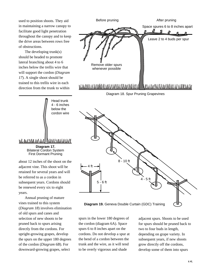used to position shoots. They aid in maintaining a narrow canopy to facilitate good light penetration throughout the canopy and to keep the drive areas between rows free of obstructions.

The developing trunk(s) should be headed to promote lateral branching about 4 to 6 inches below the trellis wire that will support the cordon (*Diagram 17*). A single shoot should be trained to this trellis wire in each direction from the trunk to within



Before pruning and a settlement of the Before pruning

n <u>Ji</u>

Space spures 6 to 8 inches apart

vines trained to this system (*Diagram 18*) involves elimination of old spurs and canes and selection of new shoots to be pruned back to spurs arising directly from the cordons. For upright-growing grapes, develop the spurs on the upper 180 degrees of the cordon (*Diagram 6B*). For downward-growing grapes, select

years.

spurs in the lower 180 degrees of the cordon (diagram 6A). Space spurs 6 to 8 inches apart on the cordons. Do not develop a spur at the bend of a cordon between the trunk and the wire, as it will tend to be overly vigorous and shade

adjacent spurs. Shoots to be used for spurs should be pruned back to two to four buds in length, depending on grape variety. In subsequent years, if new shoots grow directly off the cordons, develop some of them into spurs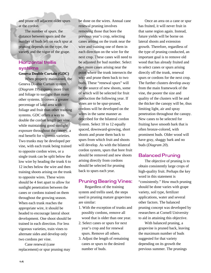and prune off adjacent older spurs at the cordon.

The number of spurs, the distance between spurs and the number of buds left on each spur at pruning depends on the type, the variety and the vigor of the grape.

### **Horizontal trellis** systems

**Geneva Double Curtain (GDC)**

When properly maintained, the Geneva Double Curtain system (*Diagram 19*) exposes more fruit and foliage to sunlight than many other systems. It covers a greater percentage of land area with foliage and fruit than other training systems. GDC offers a way to double the cordon length per vine, while maintaining good sunlight exposure throughout the canopy, a real benefit for vigorous varieties. Two trunks may be developed per vine, with each trunk being trained to opposite cordon wires, or a single trunk can be split below the low wire by heading the trunk 6 to 12 inches below the wire and then training shoots arising on the trunk to opposite wires. These wires should be 4 feet apart to allow for sunlight penetration between the canes or cordons trained on them throughout the growing season. When each trunk reaches the appropriate wire, it should be headed to encourage lateral shoot development. One shoot should be trained in each direction. For less vigorous varieties, train vines to alternate sides and develop only two cordons per vine.

Cane renewal (cane replacement) or spur pruning may

be done on the wires. Annual cane renewal pruning involves removing those that bore the previous year's crop, selecting canes arising on the trunk near the wire and training one of them in each direction on the wire for the next crop. These canes will need to be adjusted for bud number. Select two more canes arising near the point where the trunk intersects the wire and prune them back to two buds. These "renewal spurs" will be the source of new shoots, some of which will be selected for fruit production the following year. If vines are to be spur-pruned, cordons will be developed on the wires in the same manner as described for the bilateral cordon system. Select 10 to 12 equally spaced, downward-growing, short shoots and prune them back to spurs from which fruit and shoots will develop. As with the bilateral cordon system, spurs that bore fruit should be removed and new shoots arising directly from cordons should be selected for pruning back to spurs each year.

### **Pruning Bearing Vines:**

Regardless of the training system and trellis used, the steps used in pruning mature grapevines are similar:

- 1. With the exception of trunks and possibly cordons, remove all wood that is older than one year.
- 2. Select canes or spurs for next year's crop and for renewal spurs. Remove all others.
- 3. Adjust the length of remaining canes or spurs to the desired number of buds.

Once an area on a cane or spur has fruited, it will never fruit in that same region again. Instead, future yields will be borne on lateral shoots and extension growth. Therefore, regardless of the type of pruning conducted, an important goal is to remove old wood that has already fruited and to select canes or spurs arising directly off the trunk, renewal spurs or cordons for the next crop. The further clusters develop away from the main framework of the vine, the poorer the size and quality of the clusters will be and the thicker the canopy will be, thus limiting light, air and spray penetration throughout the canopy. New canes to be selected for fruiting have smooth bark that is often bronze-colored, with prominent buds. Older wood will have gray, shaggy bark and no buds (*Diagram 20*).

### **Balanced Pruning**

The objective of pruning is to obtain consistently large crops of high-quality fruit. Perhaps the key word in this statement is "consistently." How much pruning should be done varies with grape variety, soil type, fertilizer applications, water and several other factors. The balanced pruning concept was developed by researchers at Cornell University to aid in attaining this objective.

With balanced pruning, a grapevine is pruned back, leaving the maximum number of buds suggested for that variety depending on its growth the previous summer. The prunings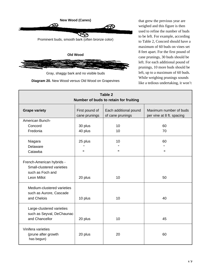



Gray, shaggy bark and no visible buds

**Diagram 20.** New Wood versus Old Wood on Grapevines

that grew the previous year are weighed and this figure is then used to refine the number of buds to be left. For example, according to Table 2, Concord should have a maximum of 60 buds on vines set 8 feet apart. For the first pound of cane prunings, 30 buds should be left. For each additional pound of prunings, 10 more buds should be left, up to a maximum of 60 buds. While weighing prunings sounds like a tedious undertaking, it won't

| Table 2<br>Number of buds to retain for fruiting                                          |                                       |                                           |                                                     |  |  |
|-------------------------------------------------------------------------------------------|---------------------------------------|-------------------------------------------|-----------------------------------------------------|--|--|
| <b>Grape variety</b>                                                                      | First pound of<br>cane prunings       | Each additional pound<br>of cane prunings | Maximum number of buds<br>per vine at 8 ft. spacing |  |  |
| American Bunch-                                                                           |                                       |                                           |                                                     |  |  |
| Concord                                                                                   | 30 plus                               | 10                                        | 60                                                  |  |  |
| Fredonia                                                                                  | 40 plus                               | 10                                        | 70                                                  |  |  |
| Niagara<br>Delaware<br>Catawba                                                            | 25 plus<br>$\mathbf{a}$<br>$\epsilon$ | 10<br>,,<br>,,                            | 60<br>$\mathbf{a}$<br>$\pmb{\epsilon}$              |  |  |
| French-American hybrids -<br>Small-clustered varieties<br>such as Foch and<br>Leon Millot | 20 plus                               | 10                                        | 50                                                  |  |  |
| Medium-clustered varieties<br>such as Aurore, Cascade<br>and Chelois                      | 10 plus                               | 10                                        | 40                                                  |  |  |
| Large-clustered varieties<br>such as Seyval, DeChaunac<br>and Chancellor                  | 20 plus                               | 10                                        | 45                                                  |  |  |
| Vinifera varieties<br>(prune after growth<br>has begun)                                   | 20 plus                               | 20                                        | 60                                                  |  |  |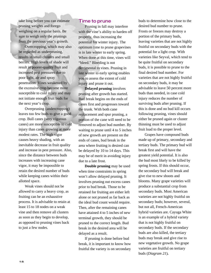take long before you can estimate pruning weights and forego weighing on a regular basis. Be sure to weigh only the prunings from the previous year's growth.

Overcropping, which may also be regarded as underpruning, results in small clusters and small berries. High levels of shade will result in poorer-quality fruit and increased pest pressures due to poor light, air and spray penetration. Vines weakened by the excessive crop become more susceptible to cold injury and may not initiate enough fruit buds for the next year's crop.

Overpruning (undercropping) leaves too few buds to give a good crop. Bull canes (very vigorous canes) are more susceptible to cold injury than canes growing at more modest rates. The high vigor causes heavy shading, with an inevitable decrease in fruit quality and increase in pest pressure. Also, since the distance between buds increases with increasing cane vigor, it may be impossible to retain the desired number of buds while keeping canes within their allotted space.

Weak vines should not be allowed to carry a heavy crop, as fruiting can be an exhaustive process. It is advisable to retain at least 15 to 18 nodes on a weak vine and then remove all clusters as soon as they begin to develop, as opposed to pruning vines back to just a few nodes.

### **Time to prune**

Pruning in fall may interfere with the vine's ability to harden off properly, thus increasing the potential for winter injury. The optimum time to prune grapevines is in late winter to early spring. When done at this time, vines will "bleed." Bleeding is not detrimental to vines. Pruning in late winter to early spring enables you to assess the extent of cold injury and prune it out.

**Delayed pruning** involves pruning after growth has started. Bud break begins on the ends of canes first and progresses toward the trunk. With both cane replacement and spur pruning, a portion of the cane will need to be removed to adjust bud number. By waiting to prune until 4 to 5 inches of new growth are present on the ends of canes, bud break in the area where fruiting is desired can be delayed by 10 to 14 days. This may be of merit in avoiding injury due to a late frost.

**Double pruning** may be used when time constraints in spring won't allow delayed pruning. It involves pruning out excess canes prior to bud break. Those to be retained for fruiting are either left alone or not pruned as far back as the ideal bud count would require. Then, after the remaining canes have attained 4 to 5 inches of new terminal growth, they should be pruned to the correct length. Bud break in the desired area will be delayed as a result.

If pruning is done before bud break, it is important to know how fruitful the variety is on secondary buds to determine how close to the desired bud number to prune. Frosts or freezes may destroy a portion of the primary buds, leaving varieties that are not highly fruitful on secondary buds with the potential for a light crop. With varieties like Seyval, which tend to be quite fruitful on secondary buds, it is possible to prune to the final desired bud number. For varieties that are not highly fruitful on secondary buds, it may be advisable to leave 50 percent more buds than needed, in case cold injury reduces the number of surviving buds after pruning. If this is done and no bud kill occurs following pruning, vines should either be pruned again or cluster thinning must be used to adjust fruit load to the proper level.

Grapes have compound buds made up of primary, secondary and tertiary buds. The primary bud will break first and will have the greatest yield potential. It is also the bud most likely to be killed by spring frosts. If this should occur, the secondary bud will break and give rise to new shoots and blooms. Many grape varieties will produce a substantial crop from secondary buds. Most American varieties are not highly fruitful on secondary buds; however, several, but not all, French-American hybrid varieties are. Cayuga White is an example of a hybrid variety that is not highly fruitful on secondary buds. If the secondary buds are also killed, the tertiary buds may break and give rise to new vegetative growth. No grape varieties are fruitful on tertiary buds (*Diagram 21*)**.**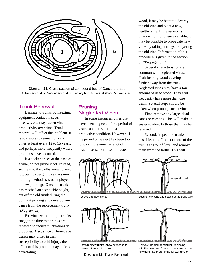

**Diagram 21.** Cross section of compound bud of Concord grape **1.** Primary bud **2.** Secondary bud **3.** Tertiary bud **4.** Lateral shoot **5.** Leaf scar

### **Trunk Renewal**

Damage to trunks by freezing, equipment contact, insects, diseases, etc. may lessen vine productivity over time. Trunk renewal will offset this problem. It is advisable to renew trunks on vines at least every 12 to 15 years, and perhaps more frequently where problems have occurred.

If a sucker arises at the base of a vine, do not prune it off. Instead, secure it to the trellis wires to keep it growing straight. Use the same training method as was employed in new plantings. Once the trunk has reached an acceptable height, cut off the old trunk during the dormant pruning and develop new canes from the replacement trunk (*Diagram 22*).

For vines with multiple trunks, stagger the time that trunks are renewed to reduce fluctuations in cropping. Also, since different age trunks may differ in their susceptibility to cold injury, the effect of this problem may be less devastating.

### Pruning **Neglected Vines**

In some instances, vines that have been neglected for a period of years can be restored to a productive condition. However, if the period of neglect has been too long or if the vine has a lot of dead, diseased or insect-infested

wood, it may be better to destroy the old vine and plant a new, healthy vine. If the variety is unknown or no longer available, it may be possible to propagate new vines by taking cuttings or layering the old vine. Information of this procedure is given in the section on "Propagation."

Several characteristics are common with neglected vines. Fruit-bearing wood develops further away from the trunk. Neglected vines may have a fair amount of dead wood. They will frequently have more than one trunk. Several steps should be taken when pruning such a vine.

First, remove any large, dead canes or cordons. This will make it easier to identify those that may be retained.

Second, inspect the trunks. If possible, cut off one or more of the trunks at ground level and remove them from the trellis. This will



Retain older trunks, allow new cane to develop into a third trunk.

Remove the damaged trunk, replacing it with the new one. Prune to one cane on the new trunk. Spur prune the following year.

**Diagram 22.** Trunk Renewal

 $1<sub>Q</sub>$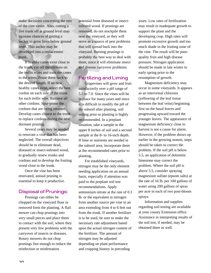make decisions concerning the rest of the vine easier. Also, cutting a live trunk off at ground level may increase chances of getting a sucker to grow from below ground level. This sucker may be developed into a replacement trunk.

If healthy canes exist close to the trunk, cut off the cordons on the trellis wires and train the canes to the wires. Prune them back to the desired length. If no new healthy canes exist, select the best cordon on each side of the trunk for each trellis wire. Remove all other cordons. Spur-prune the cordons that are being retained. Develop canes closest to the trunk to replace cordons during the next dormant pruning.

Several years may be needed to renovate a vine that has been neglected. The overall objectives should be to eliminate dead, diseased or insect-infested wood, to gradually renew trunks and cordons and to develop the fruiting wood close to the trunk.

Once the vine has been renovated, annual pruning is essential to keep it productive.

### **Disposal of Prunings:**

Prunings can either be chopped on the vineyard floor or removed form the planting. A flail mower can chop prunings into very small pieces and place them in contact with the soil, where they present very few problems with the carryover of insects or diseases. Rotary mowers do not chop prunings fine enough to reduce the reinfection or reinfestation

potential from diseased or insectinfested wood. If prunings are removed, do not stockpile them near the vineyard, as they will serve as a source of pest problems that will spread back into the vineyard. Burning prunings is probably the best way to deal with them, since it will eliminate insect and disease carryover problems.

### **Fertilizing and Liming**

Grapevines will grow and fruit satisfactorily over a pH range of 5.5 to 7.0. Since the vines will be in place for many years and since it is difficult to modify the pH of the subsoil after planting, soil testing prior to planting is highly recommended. In a preplant situation, take a sample in the upper 8 inches of soil and a second sample at the 8- to 16-inch depth. If lime or nutrients are needed in the subsoil area, incorporate them at the recommended rates prior to planting.

For established vineyards, nitrogen may be the only element needing application on an annual basis, especially if attention was paid to the preplant soil test recommendations. Apply ammonium nitrate at the rate of 0.3 lb. or the equivalent in nitrogen from another source per vine in an area extending from 4 to 6 feet out from the trunk. If another fertilizer is to be used, be sure to make the necessary rate adjustment based upon the actual nitrogen content of the fertilizer. The amount of nitrogen may be adjusted depending on plant performance and cropping history in preceding

years. Low rates of fertilization may result in inadequate growth to support the plant and the developing crop. High rates will promote excessive growth and too much shade in the fruiting zone of the vine. The result will be poorquality fruit and high disease pressure. Nitrogen application should be made in late winter to early spring prior to the resumption of growth.

Magnesium deficiency may occur in some vineyards. It appears as an interveinal chlorosis (yellowing of the leaf tissue between the leaf veins) beginning first on the basal leaves and progressing upward toward the younger leaves. The appearance of magnesium deficiency close to harvest is not a cause for alarm. However, if the problem shows up earlier in the growing season, steps should be taken to correct the problem. If the soil pH is below 5.5, an application of dolomitic limestone may correct the problem. Where the soil pH is above 5.5, consider spraying magnesium sulfate (epsom salts) at the rate of 16 lb. per 100 gallons of water using 200 gallons of spray per acre in each of two post-bloom sprays.

Information and supplies regarding soil testing are available at your county Extension office. Assistance in interpreting results of the soil test, if needed, may be obtained there as well.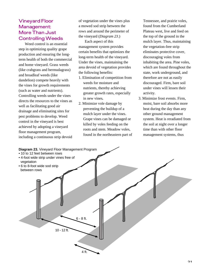### **Vineyard Floor** Management: **More Than Just Controlling Weeds**

Weed control is an essential step in optimizing quality grape production and ensuring the longterm health of both the commercial and home vineyard. Grass weeds (like crabgrass and bermudagrass) and broadleaf weeds (like dandelion) compete heavily with the vines for growth requirements (such as water and nutrients). Controlling weeds under the vines directs the resources to the vines as well as facilitating good air drainage and eliminating sites for pest problems to develop. Weed control in the vineyard is best achieved by adopting a vineyard floor management program, including a continuous strip devoid of vegetation under the vines plus a mowed sod strip between the rows and around the perimeter of the vineyard (*Diagram 23*.)

Each aspect of this management system provides certain benefits that optimizes the long-term health of the vineyard. Under the vines, maintaining the area devoid of vegetation provides the following benefits:

- 1. Elimination of competition from weeds for moisture and nutrients, thereby achieving greater growth rates, especially in new vines**.**
- 2. Minimize vole damage by preventing the buildup of a mulch layer under the vines. Grape vines can be damaged or killed by voles feeding on the roots and stem. Meadow voles, found in the northeastern part of

Tennessee, and prairie voles, found from the Cumberland Plateau west, live and feed on the top of the ground in the mulch layer. Thus, maintaining the vegetation-free strip eliminates protective cover, discouraging voles from inhabiting the area. Pine voles, which are found throughout the state, work underground, and therefore are not as easily discouraged. Firm, bare soil under vines will lessen their activity.

3. Minimize frost events. Firm, moist, bare soil absorbs more heat during the day than any other ground management system. Heat is reradiated from the soil at night over a longer time than with other floor management systems, thus

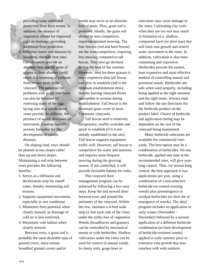providing some additional protection from frost events. In addition, the absence of vegetation allows for improved cold air drainage, providing additional frost protection.

4. Minimize insect and diseases by lessening alternate host sites. Certain weeds provide an alternate host site for pests of grapes so their absence could result in a lessening of pressure from certain pests in the vineyard. The potential for problems with grape root borer can also be lessened by removing many of the egglaying sites that weeds under vines provide. In addition, the presence of weeds decreases air movement, creating humidity pockets favorable for the development of certain diseases.

On sloping land, rows should be planted across slopes rather than up and down slopes. Maintaining a sod strip between rows provides the following benefits:

- 1. Serves as a diffusion and deceleration strip for runoff water, thereby minimizing soil erosion.
- 2. Supports equipment movement, especially in wet conditions.
- 3. Minimizes frost potential when closely mowed, as drainage of cold air is less restricted.
- 4. Minimizes vole habitat when closely mowed.

Between rows, a grass sod is probably the most desirable type of ground cover, since certain broadleaf ground covers and/or

weeds may serve as an alternate host to pests. Thus, grass sod is preferred. Ideally, the grass sod should be non-competitive, requiring minimal mowing. The fine fescues (red and hard fescue) are the least competitive, requiring less mowing compared to tall fescue. They also go dormant during the heat of the summer. However, seed for these grasses is more expensive than tall fescue and slow to establish (fall is the optimum establishment time), thereby leaving vineyard floors susceptible to erosion during establishment. Tall fescue is the dominant grass cover in most Tennessee vineyards.

Tall fescue seed is relatively inexpensive, readily available and quick to establish (if it is not already established in the site). Tall fescue supports equipment traffic well. However, tall fescue is competitive for water and nutrients and requires more frequent mowing during the growing season. If not controlled, it will provide favorable habitat for voles.

This vineyard floor management program can be achieved by following a few easy steps. Keep the sod mowed short between rows and around the perimeter of the vineyard. Within the row, maintain a 4-foot wide strip (2 feet each side of the vine) under the trellis free of vegetation. Weeds (broadleaves and grasses) can be controlled by mechanical means or with herbicides. Shallow cultivation under the vines can be used for control of annual weeds. In cherty soils, grape hoes or

rotovators may cause damage to the vines. Cultivating clay soils when they are too wet may result in formation of a shallow, compacted layer (or plow pan) that will limit root growth and restrict water movement to the roots. In addition, cultivation is also timeconsuming and expensive. Herbicides provide the easiest, least expensive and most effective method of controlling annual and perennial weeds. Herbicides are safe when used properly, including being applied at the right amounts and the right times. Always read and follow the use directions for the herbicide product on the product label. Choice of herbicide and application timing may be dependent on the size of the vineyard being maintained.

Many herbicide selections are available for commercial vineyards. The best option may be a combination of herbicides. No one herbicide, applied one time at the recommended rates, will give yearlong control. Thus, for season-long control, the best approach is two applications per year, using a combination of a non-selective herbicide (to control existing weeds) plus preemergence or residual herbicides (to slow the reemergence of weeds). The ideal program includes an application in early winter (November - December) followed by a second application of a different herbicide combination (to limit development of herbicide-resistant weeds) applied in early summer prior to extensive vine growth that may interfere with with uniform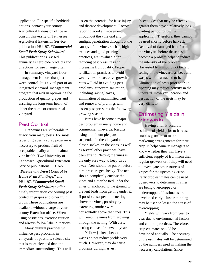application. For specific herbicide options, contact your county Agricultural Extension office or consult University of Tennessee Agricultural Extension Service publication PB1197, *"Commercial Small Fruit Spray Schedules"*.

This publication is revised annually as herbicide products and directions for use change often.

In summary, vineyard floor management is more than just weed control. It is a vital part of an integrated vineyard management program that aids in optimizing the production of quality grapes and ensuring the long-term health of either the home or commercial vineyard.

### **Pest Control**

Grapevines are vulnerable to attack from many pests. For most types of grapes, a spray program is necessary to produce fruit of acceptable quality and to maintain vine health. Two University of Tennessee Agricultural Extension Service publications, PB1622, **"***Disease and Insect Control in Home Fruit Plantings***,"** and PB1197, **"***Commercial Small Fruit Spray Schedules***,"** offer timely information concerning pest control in grapes and other fruit crops. These publications are available without charge at your county Extension office. When using pesticides, exercise caution and always follow label directions.

Many cultural practices will influence pest problems in vineyards. If possible, select a site that is more elevated than the immediate surroundings. This will lessen the potential for frost injury and disease development. Factors favoring good air movement throughout the vineyard and sunlight penetration throughout the canopy of the vines, such as high trellises and good pruning practices, are invaluable for reducing pest pressures and increasing fruit quality. Proper fertilization practices to avoid weak vines or excessive growth rates will aid in avoiding pest problems. Vineyard sanitation, including raking leaves, elimination of mummified fruit and removal of prunings will lessen pest pressures the following growing season.

Birds have become a major pest problem in many home and commercial vineyards. Results using aluminum pie pans suspended in the vineyard and plastic snakes on the vines, as well as several other practices, have been erratic. Netting the vines is the only sure way to keep birds away. Nets should be put on before bird pressure gets heavy. The net should completely enclose the vines and either be tied under the vines or anchored to the ground to prevent birds from getting under it. If possible, suspend the netting above the vines, possibly by extending another wire horizontally above the vines. This will keep the vines from growing through the netting. With care, netting can last for several years.

Yellow jackets, bees and wasps do not reduce yields very much. However, they do cause problems during harvest.

Insecticides that may be effective against them have a relatively long waiting period following application. Therefore, they cannot be used shortly before harvest. Removal of damaged fruit from the vineyard before these pests become a problem helps to reduce the intensity of the problem. Harvested fruit should not be left setting in the vineyard, as bees and wasps will be attracted to it. Elimination of nests prior to fruit ripening may reduce activity in the vineyard. However, location and destruction of the nests may be very difficult.

### **Estimating Yields in Vineyards**

Having a fairly accurate estimate of yield prior to harvest enables growers to make marketing arrangements for their crop. It helps winery managers to know whether they will have a sufficient supply of fruit from their regular growers or if they will need to investigate other sources of grapes for the upcoming crush. Early crop estimates can be used by growers to determine if vines are being overcropped or undercropped. If estimates are developed early, cluster thinning may be used to lessen the stress of overcropping.

Yields will vary from year to year due to environmental factors and cultural practices. Therefore, crop estimates should be developed annually. The accuracy of the estimates will be determined by the numbers used in making the necessary calculations. Since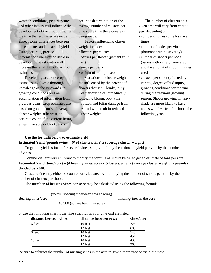weather conditions, pest pressures and other factors will influence the development of the crop following the time that estimates are made, expect some differences between the estimates and the actual yield. Using accurate, precise information wherever possible in developing the estimates will increase the reliability of the crop estimates.

Developing accurate crop estimates involves a thorough knowledge of the vineyard and growing conditions plus an accumulation of information from previous years. Crop estimates are based on good records of average cluster weights at harvest, an accurate count of the current living vines in an acre or block, and an

accurate determination of the average number of clusters per vine at the time the estimate is being made.

Factors influencing cluster weight include:

- flowers per cluster
- berries per flower (percent fruit set)
- seeds per berry

cluster weights.

• weight of fruit per seed Variations in cluster weight are influenced by the percent of flowers that set. Cloudy, rainy weather during or immediately following bloom, poor vine nutrition and foliar damage from

pests all will result in reduced

The number of clusters on a given area will vary from year to year depending on:

- number of vines (vine loss over time)
- number of nodes per vine (dormant pruning severity)
- number of shoots per node (varies with variety, vine vigor and the amount of shoot thinning used
- clusters per shoot (affected by variety, degree of bud injury, growing conditions for the vine during the previous growing season. Shoots growing in heavy shade are more likely to have nodes with less fruitful shoots the following year.

### **Use the formula below to estimate yield:**

**Estimated Yield (pounds)/vine = (# of clusters/vine) x (average cluster weight)**

To get the yield estimate for several vines, simply multiply the estimated yield per vine by the number of vines.

Commercial growers will want to modify the formula as shown below to get an estimate of tons per acre: **Estimated Yield (tons/acre) = (# bearing vines/acre) x (clusters/vine) x (average cluster weight in pounds) divided by 2000.**

Clusters/vine may either be counted or calculated by multiplying the number of shoots per vine by the number of clusters per shoot.

**The number of bearing vines per acre** may be calculated using the following formula:

(in-row spacing x between row spacing)

Bearing vines/acre = ------------------------------------------------- - missingvines in the acre

43,560 (square feet in an acre)

or use the following chart if the vine spacings in your vineyard are listed:

| distance between vines | distance between rows | vines/acre |
|------------------------|-----------------------|------------|
| 6 feet                 | 10 feet               | 726        |
|                        | 12 feet               | 605        |
| 8 feet                 | 10 feet               | 545        |
|                        | 12 feet               | 454        |
| 10 feet                | 10 feet               | 436        |
|                        | 12 feet               | 363        |

Be sure to subtract the number of missing vines in the acre to give a more precise yield estimate.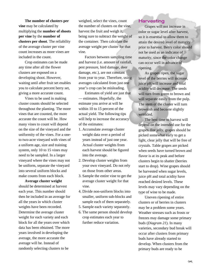**The number of clusters per vine** may be calculated by multiplying the **number of shoots per vine** by the **number of clusters per shoot**. The reliability of the average cluster per vine count increases as more vines are included in the count.

Crop estimates can be made any time after all the flower clusters are exposed on a developing shoot. However, waiting until after fruit set enables you to calculate percent berry set, giving a more accurate count.

Vines to be used in making cluster counts should be selected throughout the planting. The more vines that are counted, the more accurate the count will be. How many vines to count will depend on the size of the vineyard and the uniformity of the vines. For a oneto two-acre vineyard with vines of a uniform age, size and training system, only 10 to 15 vines may need to be sampled. In a larger vineyard where the vines may not be uniform, separate the vineyard into several uniform blocks and make counts from each block.

**Average cluster weight** should be determined at harvest each year. This number should then be included in an average for all the years in which cluster weights have been recorded. Determine the average cluster weight for each variety and each block for all the years over which data has been obtained. The more years involved in developing the average, the more accurate the average will be. Instead of randomly selecting clusters to be

weighed, select the vines, count the number of clusters on the vine, harvest the fruit and weigh it, being sure to subtract the weight of the container. Then calculate the average weight per cluster for that vine.

Factors between sampling time and harvest (i.e. amount of rainfall, pest pressure, bird damage, deer damage, etc.), are not constant from year to year. Therefore, using averages calculated from just one year's crop can be misleading.

Estimates of yield are just that — estimates. Hopefully, the estimate you arrive at will be within 10 to 15 percent of the actual yield. The following tips will help to increase the accuracy of the estimates:

- 1. Accumulate average cluster weight data over a period of years instead of just one year. Actual cluster weights from each harvest should be figured into the average.
- 2. Develop cluster weights from your own vineyard. Do not rely on those from other areas.
- 3. Sample the entire vine to get the average cluster weight for that vine.
- 4. Divide non-uniform blocks into smaller, uniform sub-blocks and sample each of them separately.
- 5. Sample each variety separately.
- 6. The same person should develop crop estimates each year to further reduce variation.

### **Harvesting**

Grapes will not increase in color or sugar level after harvest, so it is essential to allow them to attain the desired level of maturity prior to harvest. Berry color should not be used as an indicator of maturity, since the color change can occur well in advance of ripening.

As grapes ripen, the sugar level of the berries will increase, juice pH will increase and total acidity will decrease. The seeds will turn from green to brown and will separate easily from the pulp. The stem of the cluster will turn brownish and become slightly wrinkled.

The best time to harvest will depend on the intended use for the grapes. For jelly, grapes should be picked somewhat early to get a light, clear jelly that will be free of crystals. Table grapes are picked when seeds have turned brown and flavor is at its peak and before clusters begin to shatter (berries start to drop). Wine grapes should be harvested when sugar levels, juice pH and total acidity have reached desired levels. These levels may vary depending on the type of wine to be made.

Uneven ripening of entire clusters or of berries in clusters may be a problem some years. Weather stresses such as frosts or freezes may damage some primary buds (*Diagram 21*). In many varieties, secondary bud break will occur after clusters from primary buds have already started to develop. When clusters from the primary buds are ready to be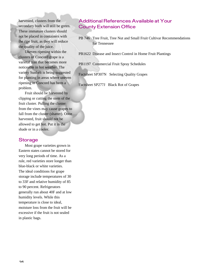harvested, clusters from the secondary buds will still be green. These immature clusters should not be placed in containers with the ripe fruit, as they will reduce the quality of the juice.

Uneven ripening within the clusters of Concord grape is a varietal trait that becomes more noticeable in hot weather. The variety Sunbelt is being suggested for planting in areas where uneven ripening in Concord has been a problem.

Fruit should be harvested by clipping or cutting the stem of the fruit cluster. Pulling the cluster from the vines may cause grapes to fall from the cluster (shatter). Once harvested, fruit should not be allowed to get hot. Put it in the shade or in a cooler.

### **Storage**

Most grape varieties grown in Eastern states cannot be stored for very long periods of time. As a rule, red varieties store longer than blue-black or white varieties. The ideal conditions for grape storage include temperatures of 30 to 33F and relative humidity of 85 to 90 percent. Refrigerators generally run about 40F and at low humidity levels. While this temperature is close to ideal, moisture loss from the fruit will be excessive if the fruit is not sealed in plastic bags.

### **Additional References Available at Your County Extension Office**

- PB 746 Tree Fruit, Tree Nut and Small Fruit Cultivar Recommendations for Tennessee
- PB1622 Disease and Insect Control in Home Fruit Plantings

PB1197 Commercial Fruit Spray Schedules

Factsheet SP307N Selecting Quality Grapes

Factsheet SP277J Black Rot of Grapes